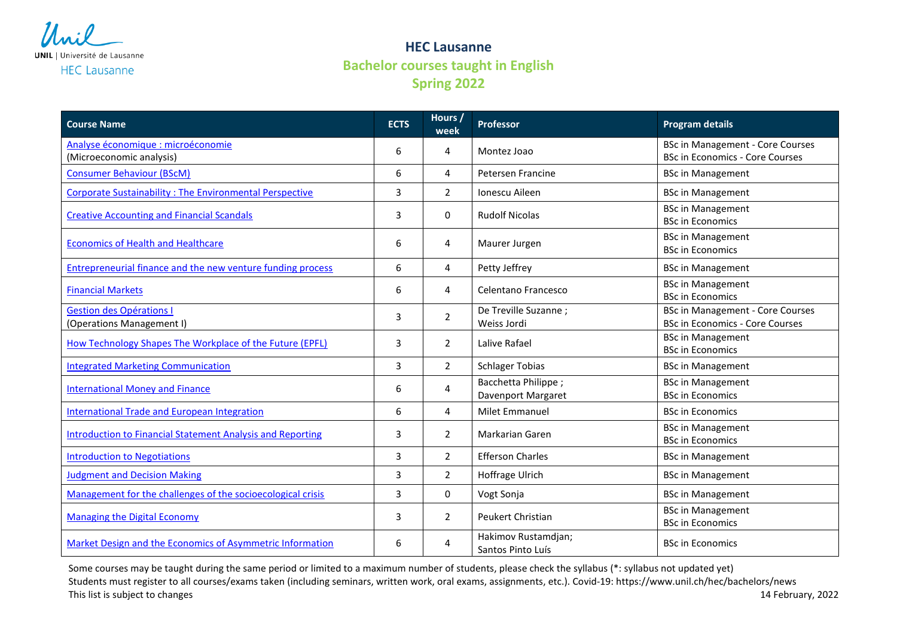

**HEC Lausanne Bachelor courses taught in English Spring 2022**

| <b>Course Name</b>                                                | <b>ECTS</b>    | Hours /<br>week | <b>Professor</b>                          | <b>Program details</b>                                                            |
|-------------------------------------------------------------------|----------------|-----------------|-------------------------------------------|-----------------------------------------------------------------------------------|
| Analyse économique : microéconomie<br>(Microeconomic analysis)    | 6              | 4               | Montez Joao                               | <b>BSc in Management - Core Courses</b><br><b>BSc in Economics - Core Courses</b> |
| <b>Consumer Behaviour (BScM)</b>                                  | 6              | 4               | Petersen Francine                         | <b>BSc in Management</b>                                                          |
| <b>Corporate Sustainability: The Environmental Perspective</b>    | 3              | $\overline{2}$  | Ionescu Aileen                            | <b>BSc in Management</b>                                                          |
| <b>Creative Accounting and Financial Scandals</b>                 | 3              | 0               | <b>Rudolf Nicolas</b>                     | <b>BSc in Management</b><br><b>BSc in Economics</b>                               |
| <b>Economics of Health and Healthcare</b>                         | 6              | 4               | Maurer Jurgen                             | <b>BSc in Management</b><br><b>BSc in Economics</b>                               |
| Entrepreneurial finance and the new venture funding process       | 6              | 4               | Petty Jeffrey                             | <b>BSc in Management</b>                                                          |
| <b>Financial Markets</b>                                          | 6              | 4               | Celentano Francesco                       | <b>BSc in Management</b><br><b>BSc in Economics</b>                               |
| <b>Gestion des Opérations I</b><br>(Operations Management I)      | 3              | $\overline{2}$  | De Treville Suzanne;<br>Weiss Jordi       | <b>BSc in Management - Core Courses</b><br><b>BSc in Economics - Core Courses</b> |
| How Technology Shapes The Workplace of the Future (EPFL)          | 3              | $\overline{2}$  | Lalive Rafael                             | <b>BSc in Management</b><br><b>BSc in Economics</b>                               |
| <b>Integrated Marketing Communication</b>                         | $\overline{3}$ | $\overline{2}$  | <b>Schlager Tobias</b>                    | <b>BSc in Management</b>                                                          |
| <b>International Money and Finance</b>                            | 6              | 4               | Bacchetta Philippe;<br>Davenport Margaret | <b>BSc in Management</b><br><b>BSc in Economics</b>                               |
| <b>International Trade and European Integration</b>               | 6              | 4               | <b>Milet Emmanuel</b>                     | <b>BSc in Economics</b>                                                           |
| <b>Introduction to Financial Statement Analysis and Reporting</b> | 3              | $\overline{2}$  | <b>Markarian Garen</b>                    | <b>BSc in Management</b><br><b>BSc in Economics</b>                               |
| <b>Introduction to Negotiations</b>                               | 3              | $\overline{2}$  | <b>Efferson Charles</b>                   | <b>BSc in Management</b>                                                          |
| <b>Judgment and Decision Making</b>                               | 3              | $\overline{2}$  | Hoffrage Ulrich                           | <b>BSc in Management</b>                                                          |
| Management for the challenges of the socioecological crisis       | 3              | $\Omega$        | Vogt Sonja                                | <b>BSc in Management</b>                                                          |
| <b>Managing the Digital Economy</b>                               | 3              | $\overline{2}$  | Peukert Christian                         | <b>BSc in Management</b><br><b>BSc in Economics</b>                               |
| Market Design and the Economics of Asymmetric Information         | 6              | 4               | Hakimov Rustamdjan;<br>Santos Pinto Luís  | <b>BSc in Economics</b>                                                           |

Some courses may be taught during the same period or limited to a maximum number of students, please check the syllabus (\*: syllabus not updated yet) Students must register to all courses/exams taken (including seminars, written work, oral exams, assignments, etc.). Covid-19: https://www.unil.ch/hec/bachelors/news This list is subject to changes and the subject to changes and the subject to changes of the subject to changes and the subject to changes and the subject to changes and the subject to changes and the subject to changes an